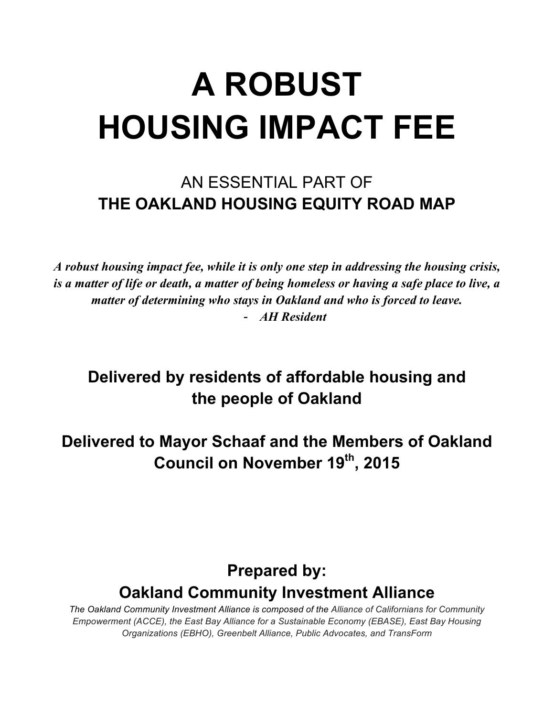# **A ROBUST HOUSING IMPACT FEE**

# AN ESSENTIAL PART OF **THE OAKLAND HOUSING EQUITY ROAD MAP**

*A robust housing impact fee, while it is only one step in addressing the housing crisis, is a matter of life or death, a matter of being homeless or having a safe place to live, a matter of determining who stays in Oakland and who is forced to leave.* - *AH Resident* 

# **Delivered by residents of affordable housing and the people of Oakland**

**Delivered to Mayor Schaaf and the Members of Oakland Council on November 19th , 2015**

# **Prepared by: Oakland Community Investment Alliance**

*The Oakland Community Investment Alliance is composed of the Alliance of Californians for Community Empowerment (ACCE), the East Bay Alliance for a Sustainable Economy (EBASE), East Bay Housing Organizations (EBHO), Greenbelt Alliance, Public Advocates, and TransForm*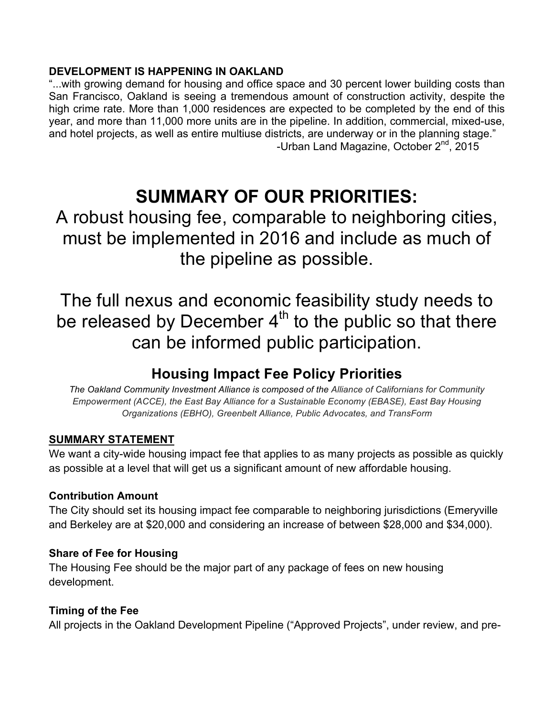## **DEVELOPMENT IS HAPPENING IN OAKLAND**

"...with growing demand for housing and office space and 30 percent lower building costs than San Francisco, Oakland is seeing a tremendous amount of construction activity, despite the high crime rate. More than 1,000 residences are expected to be completed by the end of this year, and more than 11,000 more units are in the pipeline. In addition, commercial, mixed-use, and hotel projects, as well as entire multiuse districts, are underway or in the planning stage." -Urban Land Magazine, October 2<sup>nd</sup>, 2015

# **SUMMARY OF OUR PRIORITIES:**

A robust housing fee, comparable to neighboring cities, must be implemented in 2016 and include as much of the pipeline as possible.

The full nexus and economic feasibility study needs to be released by December  $4<sup>th</sup>$  to the public so that there can be informed public participation.

# **Housing Impact Fee Policy Priorities**

*The Oakland Community Investment Alliance is composed of the Alliance of Californians for Community Empowerment (ACCE), the East Bay Alliance for a Sustainable Economy (EBASE), East Bay Housing Organizations (EBHO), Greenbelt Alliance, Public Advocates, and TransForm*

# **SUMMARY STATEMENT**

We want a city-wide housing impact fee that applies to as many projects as possible as quickly as possible at a level that will get us a significant amount of new affordable housing.

## **Contribution Amount**

The City should set its housing impact fee comparable to neighboring jurisdictions (Emeryville and Berkeley are at \$20,000 and considering an increase of between \$28,000 and \$34,000).

## **Share of Fee for Housing**

The Housing Fee should be the major part of any package of fees on new housing development.

# **Timing of the Fee**

All projects in the Oakland Development Pipeline ("Approved Projects", under review, and pre-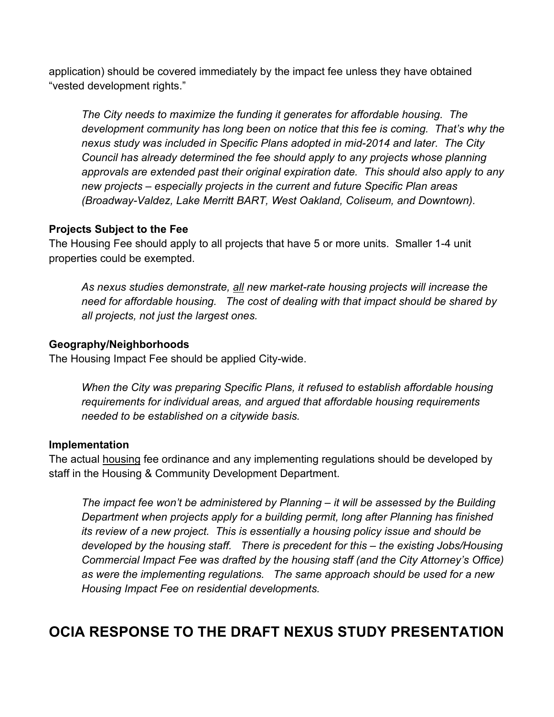application) should be covered immediately by the impact fee unless they have obtained "vested development rights."

*The City needs to maximize the funding it generates for affordable housing. The development community has long been on notice that this fee is coming. That's why the nexus study was included in Specific Plans adopted in mid-2014 and later. The City Council has already determined the fee should apply to any projects whose planning approvals are extended past their original expiration date. This should also apply to any new projects – especially projects in the current and future Specific Plan areas (Broadway-Valdez, Lake Merritt BART, West Oakland, Coliseum, and Downtown).*

## **Projects Subject to the Fee**

The Housing Fee should apply to all projects that have 5 or more units. Smaller 1-4 unit properties could be exempted.

*As nexus studies demonstrate, all new market-rate housing projects will increase the need for affordable housing. The cost of dealing with that impact should be shared by all projects, not just the largest ones.*

## **Geography/Neighborhoods**

The Housing Impact Fee should be applied City-wide.

*When the City was preparing Specific Plans, it refused to establish affordable housing requirements for individual areas, and argued that affordable housing requirements needed to be established on a citywide basis.* 

## **Implementation**

The actual housing fee ordinance and any implementing regulations should be developed by staff in the Housing & Community Development Department.

*The impact fee won't be administered by Planning – it will be assessed by the Building Department when projects apply for a building permit, long after Planning has finished its review of a new project. This is essentially a housing policy issue and should be developed by the housing staff. There is precedent for this – the existing Jobs/Housing Commercial Impact Fee was drafted by the housing staff (and the City Attorney's Office) as were the implementing regulations. The same approach should be used for a new Housing Impact Fee on residential developments.*

# **OCIA RESPONSE TO THE DRAFT NEXUS STUDY PRESENTATION**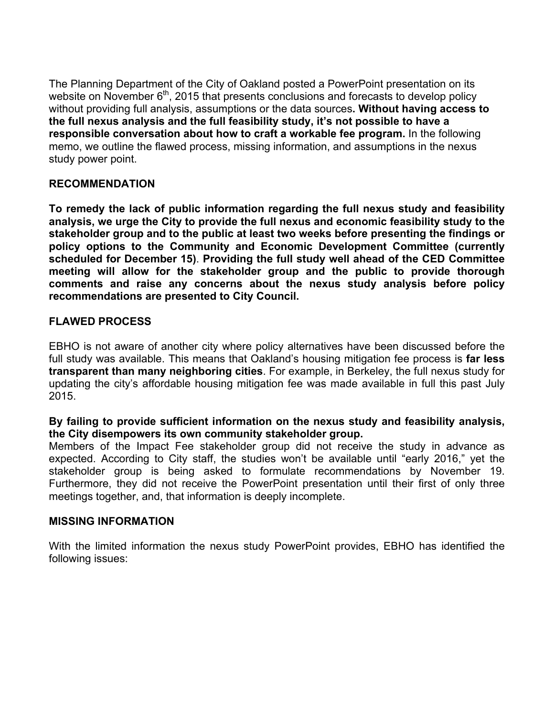The Planning Department of the City of Oakland posted a PowerPoint presentation on its website on November 6<sup>th</sup>, 2015 that presents conclusions and forecasts to develop policy without providing full analysis, assumptions or the data sources**. Without having access to the full nexus analysis and the full feasibility study, it's not possible to have a responsible conversation about how to craft a workable fee program.** In the following memo, we outline the flawed process, missing information, and assumptions in the nexus study power point.

#### **RECOMMENDATION**

**To remedy the lack of public information regarding the full nexus study and feasibility analysis, we urge the City to provide the full nexus and economic feasibility study to the stakeholder group and to the public at least two weeks before presenting the findings or policy options to the Community and Economic Development Committee (currently scheduled for December 15)**. **Providing the full study well ahead of the CED Committee meeting will allow for the stakeholder group and the public to provide thorough comments and raise any concerns about the nexus study analysis before policy recommendations are presented to City Council.** 

## **FLAWED PROCESS**

EBHO is not aware of another city where policy alternatives have been discussed before the full study was available. This means that Oakland's housing mitigation fee process is **far less transparent than many neighboring cities**. For example, in Berkeley, the full nexus study for updating the city's affordable housing mitigation fee was made available in full this past July 2015.

#### **By failing to provide sufficient information on the nexus study and feasibility analysis, the City disempowers its own community stakeholder group.**

Members of the Impact Fee stakeholder group did not receive the study in advance as expected. According to City staff, the studies won't be available until "early 2016," yet the stakeholder group is being asked to formulate recommendations by November 19. Furthermore, they did not receive the PowerPoint presentation until their first of only three meetings together, and, that information is deeply incomplete.

#### **MISSING INFORMATION**

With the limited information the nexus study PowerPoint provides, EBHO has identified the following issues: